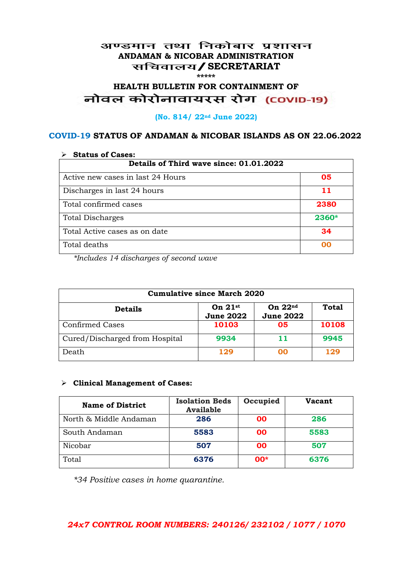#### अण्डमान तथा निकोबार प्रशासन **ANDAMAN & NICOBAR ADMINISTRATION /SECRETARIAT \*\*\*\*\***

# **HEALTH BULLETIN FOR CONTAINMENT OF**  नोवल कोरोनावायरस रोग (COVID-19)

#### **(No. 814/ 22nd June 2022)**

#### **COVID-19 STATUS OF ANDAMAN & NICOBAR ISLANDS AS ON 22.06.2022**

| <b>Status of Cases:</b>                 |       |  |
|-----------------------------------------|-------|--|
| Details of Third wave since: 01.01.2022 |       |  |
| Active new cases in last 24 Hours       | 05    |  |
| Discharges in last 24 hours             | 11    |  |
| Total confirmed cases                   | 2380  |  |
| <b>Total Discharges</b>                 | 2360* |  |
| Total Active cases as on date           | 34    |  |
| Total deaths                            | oo    |  |

*\*Includes 14 discharges of second wave*

| <b>Cumulative since March 2020</b> |                               |                               |              |
|------------------------------------|-------------------------------|-------------------------------|--------------|
| <b>Details</b>                     | On $21st$<br><b>June 2022</b> | On $22nd$<br><b>June 2022</b> | <b>Total</b> |
| <b>Confirmed Cases</b>             | 10103                         | 05                            | 10108        |
| Cured/Discharged from Hospital     | 9934                          | 11                            | 9945         |
| Death                              | 129                           | ററ                            | 129          |

#### **Clinical Management of Cases:**

| <b>Name of District</b> | <b>Isolation Beds</b><br><b>Available</b> | Occupied  | Vacant |
|-------------------------|-------------------------------------------|-----------|--------|
| North & Middle Andaman  | 286                                       | <b>OO</b> | 286    |
| South Andaman           | 5583                                      | <b>OO</b> | 5583   |
| Nicobar                 | 507                                       | <b>OO</b> | 507    |
| Total                   | 6376                                      | $00*$     | 6376   |

*\*34 Positive cases in home quarantine.*

#### *24x7 CONTROL ROOM NUMBERS: 240126/ 232102 / 1077 / 1070*